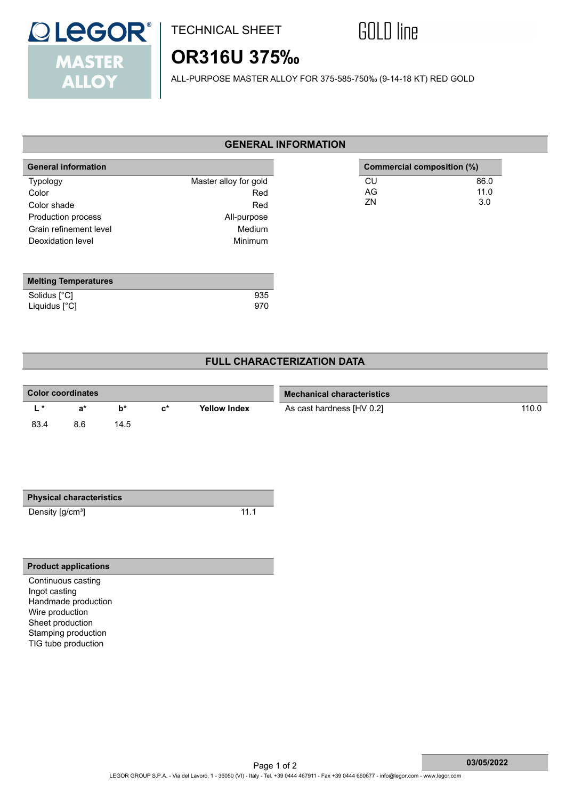

## TECHNICAL SHEET



# **OR316U 375‰**

ALL-PURPOSE MASTER ALLOY FOR 375-585-750‰ (9-14-18 KT) RED GOLD

#### **GENERAL INFORMATION**

| <b>General information</b>  |                       |    | Commercial composition (%) |
|-----------------------------|-----------------------|----|----------------------------|
| <b>Typology</b>             | Master alloy for gold | CU | 86.0                       |
| Color                       | Red                   | AG | 11.0                       |
| Color shade                 | Red                   | ZN | 3.0                        |
| Production process          | All-purpose           |    |                            |
| Grain refinement level      | Medium                |    |                            |
| Deoxidation level           | <b>Minimum</b>        |    |                            |
|                             |                       |    |                            |
| <b>Melting Temperatures</b> |                       |    |                            |
| Solidus [°C]                | 935                   |    |                            |
| Liquidus [°C]               | 970                   |    |                            |

### **FULL CHARACTERIZATION DATA**

| <b>Color coordinates</b> |     |      |                |                     | <b>Mechanical characteristics</b> |       |  |
|--------------------------|-----|------|----------------|---------------------|-----------------------------------|-------|--|
|                          | я*  | h*   | $\mathsf{r}^*$ | <b>Yellow Index</b> | As cast hardness [HV 0.2]         | 110.0 |  |
| 83.4                     | 8.6 | 14.5 |                |                     |                                   |       |  |

| <b>Physical characteristics</b> |      |
|---------------------------------|------|
| Density [g/cm <sup>3</sup> ]    | 11.1 |

#### **Product applications**

Continuous casting Ingot casting Handmade production Wire production Sheet production Stamping production TIG tube production